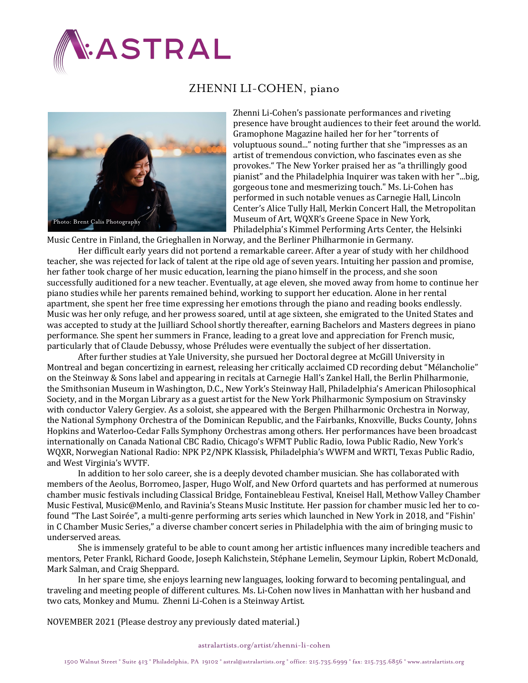

## ZHENNI LI-COHEN, piano



Zhenni Li-Cohen's passionate performances and riveting presence have brought audiences to their feet around the world. Gramophone Magazine hailed her for her "torrents of voluptuous sound..." noting further that she "impresses as an artist of tremendous conviction, who fascinates even as she provokes." The New Yorker praised her as "a thrillingly good pianist" and the Philadelphia Inquirer was taken with her "...big, gorgeous tone and mesmerizing touch." Ms. Li-Cohen has performed in such notable venues as Carnegie Hall, Lincoln Center's Alice Tully Hall, Merkin Concert Hall, the Metropolitan Museum of Art, WQXR's Greene Space in New York, Philadelphia's Kimmel Performing Arts Center, the Helsinki

Music Centre in Finland, the Grieghallen in Norway, and the Berliner Philharmonie in Germany.

Her difficult early years did not portend a remarkable career. After a year of study with her childhood teacher, she was rejected for lack of talent at the ripe old age of seven years. Intuiting her passion and promise, her father took charge of her music education, learning the piano himself in the process, and she soon successfully auditioned for a new teacher. Eventually, at age eleven, she moved away from home to continue her piano studies while her parents remained behind, working to support her education. Alone in her rental apartment, she spent her free time expressing her emotions through the piano and reading books endlessly. Music was her only refuge, and her prowess soared, until at age sixteen, she emigrated to the United States and was accepted to study at the Juilliard School shortly thereafter, earning Bachelors and Masters degrees in piano performance. She spent her summers in France, leading to a great love and appreciation for French music, particularly that of Claude Debussy, whose Préludes were eventually the subject of her dissertation.

After further studies at Yale University, she pursued her Doctoral degree at McGill University in Montreal and began concertizing in earnest, releasing her critically acclaimed CD recording debut "Mélancholie" on the Steinway & Sons label and appearing in recitals at Carnegie Hall's Zankel Hall, the Berlin Philharmonie, the Smithsonian Museum in Washington, D.C., New York's Steinway Hall, Philadelphia's American Philosophical Society, and in the Morgan Library as a guest artist for the New York Philharmonic Symposium on Stravinsky with conductor Valery Gergiev. As a soloist, she appeared with the Bergen Philharmonic Orchestra in Norway, the National Symphony Orchestra of the Dominican Republic, and the Fairbanks, Knoxville, Bucks County, Johns Hopkins and Waterloo-Cedar Falls Symphony Orchestras among others. Her performances have been broadcast internationally on Canada National CBC Radio, Chicago's WFMT Public Radio, Iowa Public Radio, New York's WQXR, Norwegian National Radio: NPK P2/NPK Klassisk, Philadelphia's WWFM and WRTI, Texas Public Radio, and West Virginia's WVTF. 

In addition to her solo career, she is a deeply devoted chamber musician. She has collaborated with members of the Aeolus, Borromeo, Jasper, Hugo Wolf, and New Orford quartets and has performed at numerous chamber music festivals including Classical Bridge, Fontainebleau Festival, Kneisel Hall, Methow Valley Chamber Music Festival, Music@Menlo, and Ravinia's Steans Music Institute. Her passion for chamber music led her to cofound "The Last Soirée", a multi-genre performing arts series which launched in New York in 2018, and "Fishin' in C Chamber Music Series," a diverse chamber concert series in Philadelphia with the aim of bringing music to underserved areas.

She is immensely grateful to be able to count among her artistic influences many incredible teachers and mentors, Peter Frankl, Richard Goode, Joseph Kalichstein, Stéphane Lemelin, Seymour Lipkin, Robert McDonald, Mark Salman, and Craig Sheppard.

In her spare time, she enjoys learning new languages, looking forward to becoming pentalingual, and traveling and meeting people of different cultures. Ms. Li-Cohen now lives in Manhattan with her husband and two cats, Monkey and Mumu. Zhenni Li-Cohen is a Steinway Artist.

NOVEMBER 2021 (Please destroy any previously dated material.)